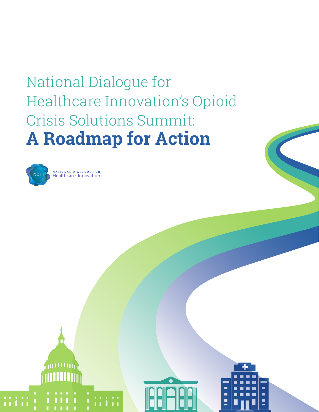# National Dialogue for Healthcare Innovation's Opioid Crisis Solutions Summit: **A Roadmap for Action**



arri 11 m



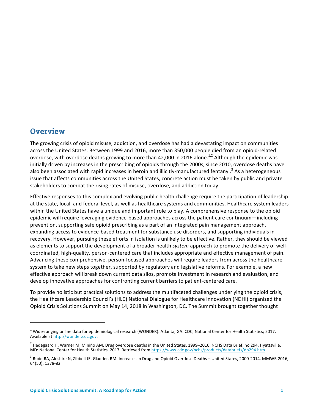## **Overview**

The growing crisis of opioid misuse, addiction, and overdose has had a devastating impact on communities across the United States. Between 1999 and 2016, more than 350,000 people died from an opioid-related overdose, with overdose deaths growing to more than 42,000 in 2016 alone.<sup>1,2</sup> Although the epidemic was initially driven by increases in the prescribing of opioids through the 2000s, since 2010, overdose deaths have also been associated with rapid increases in heroin and illicitly-manufactured fentanyl.<sup>3</sup> As a heterogeneous issue that affects communities across the United States, concrete action must be taken by public and private stakeholders to combat the rising rates of misuse, overdose, and addiction today.

Effective responses to this complex and evolving public health challenge require the participation of leadership at the state, local, and federal level, as well as healthcare systems and communities. Healthcare system leaders within the United States have a unique and important role to play. A comprehensive response to the opioid epidemic will require leveraging evidence-based approaches across the patient care continuum—including prevention, supporting safe opioid prescribing as a part of an integrated pain management approach, expanding access to evidence-based treatment for substance use disorders, and supporting individuals in recovery. However, pursuing these efforts in isolation is unlikely to be effective. Rather, they should be viewed as elements to support the development of a broader health *system* approach to promote the delivery of wellcoordinated, high-quality, person-centered care that includes appropriate and effective management of pain. Advancing these comprehensive, person-focused approaches will require leaders from across the healthcare system to take new steps together, supported by regulatory and legislative reforms. For example, a new effective approach will break down current data silos, promote investment in research and evaluation, and develop innovative approaches for confronting current barriers to patient-centered care.

To provide holistic but practical solutions to address the multifaceted challenges underlying the opioid crisis, the Healthcare Leadership Council's (HLC) National Dialogue for Healthcare Innovation (NDHI) organized the Opioid Crisis Solutions Summit on May 14, 2018 in Washington, DC. The Summit brought together thought

<u> 1989 - Johann Barn, mars ann an t-Amhain an t-Amhain an t-Amhain an t-Amhain an t-Amhain an t-Amhain an t-Amh</u>

 $1$  Wide-ranging online data for epidemiological research (WONDER). Atlanta, GA: CDC, National Center for Health Statistics; 2017. Available at http://wonder.cdc.gov.

 $2$  Hedegaard H, Warner M, Miniño AM. Drug overdose deaths in the United States, 1999–2016. NCHS Data Brief, no 294. Hyattsville, MD: National Center for Health Statistics. 2017. Retrieved from https://www.cdc.gov/nchs/products/databriefs/db294.htm

 $3$  Rudd RA, Aleshire N, Zibbell JE, Gladden RM. Increases in Drug and Opioid Overdose Deaths – United States, 2000-2014. MMWR 2016, 64(50); 1378-82.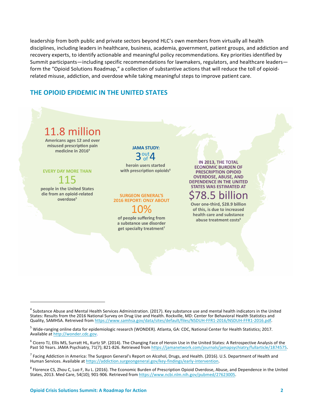leadership from both public and private sectors beyond HLC's own members from virtually all health disciplines, including leaders in healthcare, business, academia, government, patient groups, and addiction and recovery experts, to identify actionable and meaningful policy recommendations. Key priorities identified by Summit participants—including specific recommendations for lawmakers, regulators, and healthcare leaders form the "Opioid Solutions Roadmap," a collection of substantive actions that will reduce the toll of opioidrelated misuse, addiction, and overdose while taking meaningful steps to improve patient care.

## **THE OPIOID EPIDEMIC IN THE UNITED STATES**



 

 $^4$  Substance Abuse and Mental Health Services Administration. (2017). Key substance use and mental health indicators in the United States: Results from the 2016 National Survey on Drug Use and Health. Rockville, MD: Center for Behavioral Health Statistics and Quality, SAMHSA. Retreived from https://www.samhsa.gov/data/sites/default/files/NSDUH-FFR1-2016/NSDUH-FFR1-2016.pdf.

 $5$  Wide-ranging online data for epidemiologic research (WONDER). Atlanta, GA: CDC, National Center for Health Statistics; 2017. Available at http://wonder.cdc.gov.

 $6$  Cicero TJ, Ellis MS, Surratt HL, Kurtz SP. (2014). The Changing Face of Heroin Use in the United States: A Retrospective Analysis of the Past 50 Years. JAMA Psychiatry, 71(7); 821-826. Retrieved from https://jamanetwork.com/journals/jamapsychiatry/fullarticle/1874575.

 $^7$  Facing Addiction in America: The Surgeon General's Report on Alcohol, Drugs, and Health. (2016). U.S. Department of Health and Human Services. Available at https://addiction.surgeongeneral.gov/key-findings/early-intervention.

 $8$  Florence CS, Zhou C, Luo F, Xu L. (2016). The Economic Burden of Prescription Opioid Overdose, Abuse, and Dependence in the United States, 2013. Med Care, 54(10); 901-906. Retrieved from https://www.ncbi.nlm.nih.gov/pubmed/27623005.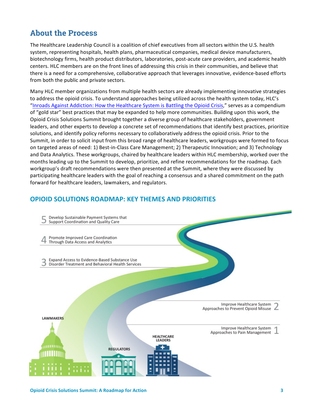# **About the Process**

The Healthcare Leadership Council is a coalition of chief executives from all sectors within the U.S. health system, representing hospitals, health plans, pharmaceutical companies, medical device manufacturers, biotechnology firms, health product distributors, laboratories, post-acute care providers, and academic health centers. HLC members are on the front lines of addressing this crisis in their communities, and believe that there is a need for a comprehensive, collaborative approach that leverages innovative, evidence-based efforts from both the public and private sectors.

Many HLC member organizations from multiple health sectors are already implementing innovative strategies to address the opioid crisis. To understand approaches being utilized across the health system today, HLC's "Inroads Against Addiction: How the Healthcare System is Battling the Opioid Crisis," serves as a compendium of "gold star" best practices that may be expanded to help more communities. Building upon this work, the Opioid Crisis Solutions Summit brought together a diverse group of healthcare stakeholders, government leaders, and other experts to develop a concrete set of recommendations that identify best practices, prioritize solutions, and identify policy reforms necessary to collaboratively address the opioid crisis. Prior to the Summit, in order to solicit input from this broad range of healthcare leaders, workgroups were formed to focus on targeted areas of need: 1) Best-in-Class Care Management; 2) Therapeutic Innovation; and 3) Technology and Data Analytics. These workgroups, chaired by healthcare leaders within HLC membership, worked over the months leading up to the Summit to develop, prioritize, and refine recommendations for the roadmap. Each workgroup's draft recommendations were then presented at the Summit, where they were discussed by participating healthcare leaders with the goal of reaching a consensus and a shared commitment on the path forward for healthcare leaders, lawmakers, and regulators.

## **OPIOID SOLUTIONS ROADMAP: KEY THEMES AND PRIORITIES**

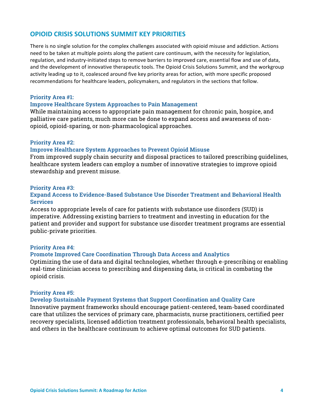## **OPIOID CRISIS SOLUTIONS SUMMIT KEY PRIORITIES**

There is no single solution for the complex challenges associated with opioid misuse and addiction. Actions need to be taken at multiple points along the patient care continuum, with the necessity for legislation, regulation, and industry-initiated steps to remove barriers to improved care, essential flow and use of data, and the development of innovative therapeutic tools. The Opioid Crisis Solutions Summit, and the workgroup activity leading up to it, coalesced around five key priority areas for action, with more specific proposed recommendations for healthcare leaders, policymakers, and regulators in the sections that follow.

## **Priority Area #1:**

### **Improve Healthcare System Approaches to Pain Management**

While maintaining access to appropriate pain management for chronic pain, hospice, and palliative care patients, much more can be done to expand access and awareness of nonopioid, opioid-sparing, or non-pharmacological approaches.

### **Priority Area #2:**

#### **Improve Healthcare System Approaches to Prevent Opioid Misuse**

From improved supply chain security and disposal practices to tailored prescribing guidelines, healthcare system leaders can employ a number of innovative strategies to improve opioid stewardship and prevent misuse.

#### **Priority Area #3:**

## **Expand Access to Evidence-Based Substance Use Disorder Treatment and Behavioral Health Services**

Access to appropriate levels of care for patients with substance use disorders (SUD) is imperative. Addressing existing barriers to treatment and investing in education for the patient and provider and support for substance use disorder treatment programs are essential public-private priorities.

#### **Priority Area #4:**

### **Promote Improved Care Coordination Through Data Access and Analytics**

Optimizing the use of data and digital technologies, whether through e-prescribing or enabling real-time clinician access to prescribing and dispensing data, is critical in combating the opioid crisis.

### **Priority Area #5:**

#### **Develop Sustainable Payment Systems that Support Coordination and Quality Care**

Innovative payment frameworks should encourage patient-centered, team-based coordinated care that utilizes the services of primary care, pharmacists, nurse practitioners, certified peer recovery specialists, licensed addiction treatment professionals, behavioral health specialists, and others in the healthcare continuum to achieve optimal outcomes for SUD patients.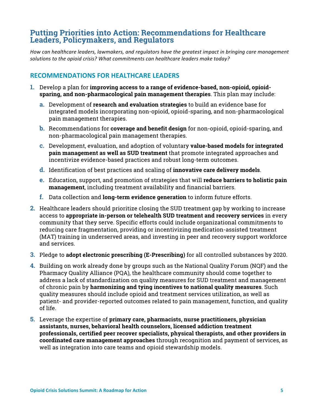## **Putting Priorities into Action: Recommendations for Healthcare Leaders, Policymakers, and Regulators**

How can healthcare leaders, lawmakers, and regulators have the greatest impact in bringing care management solutions to the opioid crisis? What commitments can healthcare leaders make today?

## **RECOMMENDATIONS FOR HEALTHCARE LEADERS**

- **1.** Develop a plan for **improving access to a range of evidence-based, non-opioid, opioidsparing, and non-pharmacological pain management therapies**. This plan may include:
	- **a.** Development of **research and evaluation strategies** to build an evidence base for integrated models incorporating non-opioid, opioid-sparing, and non-pharmacological pain management therapies.
	- **b.** Recommendations for **coverage and benefit design** for non-opioid, opioid-sparing, and non-pharmacological pain management therapies.
	- **c.** Development, evaluation, and adoption of voluntary **value-based models for integrated pain management as well as SUD treatment** that promote integrated approaches and incentivize evidence-based practices and robust long-term outcomes.
	- **d.** Identification of best practices and scaling of **innovative care delivery models**.
	- **e.** Education, support, and promotion of strategies that will **reduce barriers to holistic pain management**, including treatment availability and financial barriers.
	- **f.** Data collection and **long-term evidence generation** to inform future efforts.
- **2.** Healthcare leaders should prioritize closing the SUD treatment gap by working to increase access to **appropriate in-person or telehealth SUD treatment and recovery services** in every community that they serve. Specific efforts could include organizational commitments to reducing care fragmentation, providing or incentivizing medication-assisted treatment (MAT) training in underserved areas, and investing in peer and recovery support workforce and services.
- **3.** Pledge to **adopt electronic prescribing (E-Prescribing)** for all controlled substances by 2020.
- **4.** Building on work already done by groups such as the National Quality Forum (NQF) and the Pharmacy Quality Alliance (PQA), the healthcare community should come together to address a lack of standardization on quality measures for SUD treatment and management of chronic pain by **harmonizing and tying incentives to national quality measures**. Such quality measures should include opioid and treatment services utilization, as well as patient- and provider-reported outcomes related to pain management, function, and quality of life.
- **5.** Leverage the expertise of **primary care, pharmacists, nurse practitioners, physician assistants, nurses, behavioral health counselors, licensed addiction treatment professionals, certified peer recover specialists, physical therapists, and other providers in coordinated care management approaches** through recognition and payment of services, as well as integration into care teams and opioid stewardship models.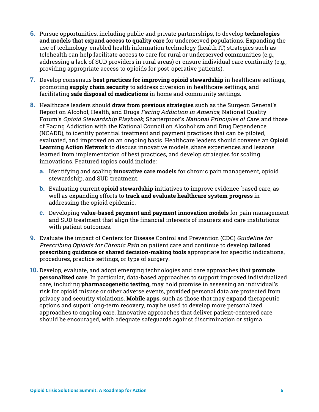- **6.** Pursue opportunities, including public and private partnerships, to develop **technologies and models that expand access to quality care** for underserved populations. Expanding the use of technology-enabled health information technology (health IT) strategies such as telehealth can help facilitate access to care for rural or underserved communities (e.g., addressing a lack of SUD providers in rural areas) or ensure individual care continuity (e.g., providing appropriate access to opioids for post-operative patients).
- **7.** Develop consensus **best practices for improving opioid stewardship** in healthcare settings**,**  promoting **supply chain security** to address diversion in healthcare settings, and facilitating **safe disposal of medications** in home and community settings.
- **8.** Healthcare leaders should **draw from previous strategies** such as the Surgeon General's Report on Alcohol, Health, and Drugs Facing Addiction in America, National Quality Forum's Opioid Stewardship Playbook, Shatterproof's National Principles of Care, and those of Facing Addiction with the National Council on Alcoholism and Drug Dependence (NCADD), to identify potential treatment and payment practices that can be piloted, evaluated, and improved on an ongoing basis. Healthcare leaders should convene an **Opioid Learning Action Network** to discuss innovative models, share experiences and lessons learned from implementation of best practices, and develop strategies for scaling innovations. Featured topics could include:
	- **a.** Identifying and scaling **innovative care models** for chronic pain management, opioid stewardship, and SUD treatment.
	- **b.** Evaluating current **opioid stewardship** initiatives to improve evidence-based care, as well as expanding efforts to **track and evaluate healthcare system progress** in addressing the opioid epidemic.
	- **c.** Developing **value-based payment and payment innovation models** for pain management and SUD treatment that align the financial interests of insurers and care institutions with patient outcomes.
- **9.** Evaluate the impact of Centers for Disease Control and Prevention (CDC) Guideline for Prescribing Opioids for Chronic Pain on patient care and continue to develop **tailored prescribing guidance or shared decision-making tools** appropriate for specific indications, procedures, practice settings, or type of surgery.
- **10.** Develop, evaluate, and adopt emerging technologies and care approaches that **promote personalized care**. In particular, data-based approaches to support improved individualized care, including **pharmacogenetic testing,** may hold promise in assessing an individual's risk for opioid misuse or other adverse events, provided personal data are protected from privacy and security violations. **Mobile apps**, such as those that may expand therapeutic options and suport long-term recovery, may be used to develop more personalized approaches to ongoing care. Innovative approaches that deliver patient-centered care should be encouraged, with adequate safeguards against discrimination or stigma.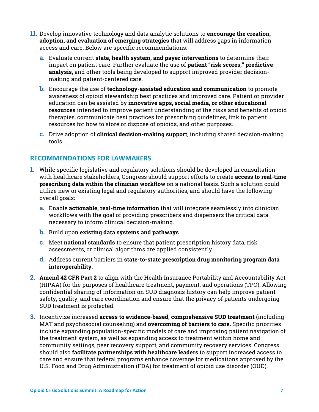- **11.** Develop innovative technology and data analytic solutions to **encourage the creation, adoption, and evaluation of emerging strategies** that will address gaps in information access and care. Below are specific recommendations:
	- **a.** Evaluate current **state, health system, and payer interventions** to determine their impact on patient care. Further evaluate the use of **patient "risk scores," predictive analysis,** and other tools being developed to support improved provider decisionmaking and patient-centered care.
	- **b.** Encourage the use of **technology-assisted education and communication** to promote awareness of opioid stewardship best practices and improved care. Patient or provider education can be assisted by **innovative apps, social media, or other educational resources** intended to improve patient understanding of the risks and benefits of opioid therapies, communicate best practices for prescribing guidelines, link to patient resources for how to store or dispose of opioids, and other purposes.
	- **c.** Drive adoption of **clinical decision-making support**, including shared decision-making tools.

## **RECOMMENDATIONS FOR LAWMAKERS**

- **1.** While specific legislative and regulatory solutions should be developed in consultation with healthcare stakeholders, Congress should support efforts to create **access to real-time prescribing data within the clinician workflow** on a national basis. Such a solution could utilize new or existing legal and regulatory authorities, and should have the following overall goals:
	- **a.** Enable **actionable, real-time information** that will integrate seamlessly into clinician workflows with the goal of providing prescribers and dispensers the critical data necessary to inform clinical decision-making.
	- **b.** Build upon **existing data systems and pathways**.
	- **c.** Meet **national standards** to ensure that patient prescription history data, risk assessments, or clinical algorithms are applied consistently.
	- **d.** Address current barriers in **state-to-state prescription drug monitoring program data interoperability**.
- **2. Amend 42 CFR Part 2** to align with the Health Insurance Portability and Accountability Act (HIPAA) for the purposes of healthcare treatment, payment, and operations (TPO). Allowing confidential sharing of information on SUD diagnosis history can help improve patient safety, quality, and care coordination and ensure that the privacy of patients undergoing SUD treatment is protected.
- **3.** Incentivize increased **access to evidence-based, comprehensive SUD treatment** (including MAT and psychosocial counseling) and **overcoming of barriers to care.** Specific priorities include expanding population-specific models of care and improving patient navigation of the treatment system, as well as expanding access to treatment within home and community settings, peer recovery support, and community recovery services. Congress should also **facilitate partnerships with healthcare leaders** to support increased access to care and ensure that federal programs enhance coverage for medications approved by the U.S. Food and Drug Administration (FDA) for treatment of opioid use disorder (OUD).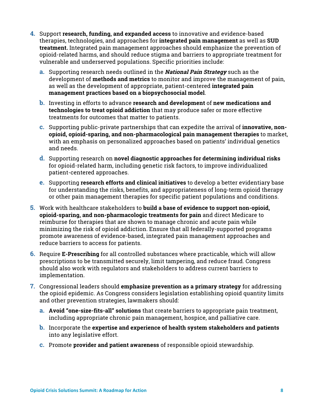- **4.** Support **research, funding, and expanded access** to innovative and evidence-based therapies, technologies, and approaches for **integrated pain management** as well as **SUD treatment.** Integrated pain management approaches should emphasize the prevention of opioid-related harms, and should reduce stigma and barriers to appropriate treatment for vulnerable and underserved populations. Specific priorities include:
	- **a.** Supporting research needs outlined in the **National Pain Strategy** such as the development of **methods and metrics** to monitor and improve the management of pain, as well as the development of appropriate, patient-centered **integrated pain management practices based on a biopsychosocial model**.
	- **b.** Investing in efforts to advance **research and development** of **new medications and technologies to treat opioid addiction** that may produce safer or more effective treatments for outcomes that matter to patients.
	- **c.** Supporting public-private partnerships that can expedite the arrival of **innovative, nonopioid, opioid-sparing, and non-pharmacological pain management therapies** to market, with an emphasis on personalized approaches based on patients' individual genetics and needs.
	- **d.** Supporting research on **novel diagnostic approaches for determining individual risks**  for opioid-related harm, including genetic risk factors, to improve individualized patient-centered approaches.
	- **e.** Supporting **research efforts and clinical initiatives** to develop a better evidentiary base for understanding the risks, benefits, and appropriateness of long-term opioid therapy or other pain management therapies for specific patient populations and conditions.
- **5.** Work with healthcare stakeholders to **build a base of evidence to support non-opioid, opioid-sparing, and non-pharmacologic treatments for pain** and direct Medicare to reimburse for therapies that are shown to manage chronic and acute pain while minimizing the risk of opioid addiction. Ensure that all federally-supported programs promote awareness of evidence-based, integrated pain management approaches and reduce barriers to access for patients.
- **6.** Require **E-Prescribing** for all controlled substances where practicable, which will allow prescriptions to be transmitted securely, limit tampering, and reduce fraud. Congress should also work with regulators and stakeholders to address current barriers to implementation.
- **7.** Congressional leaders should **emphasize prevention as a primary strategy** for addressing the opioid epidemic. As Congress considers legislation establishing opioid quantity limits and other prevention strategies, lawmakers should:
	- **a. Avoid "one-size-fits-all" solutions** that create barriers to appropriate pain treatment, including appropriate chronic pain management, hospice, and palliative care.
	- **b.** Incorporate the **expertise and experience of health system stakeholders and patients** into any legislative effort.
	- **c.** Promote **provider and patient awareness** of responsible opioid stewardship.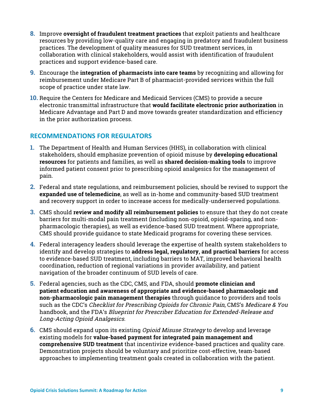- **8.** Improve **oversight of fraudulent treatment practices** that exploit patients and healthcare resources by providing low-quality care and engaging in predatory and fraudulent business practices. The development of quality measures for SUD treatment services, in collaboration with clinical stakeholders, would assist with identification of fraudulent practices and support evidence-based care.
- **9.** Encourage the **integration of pharmacists into care teams** by recognizing and allowing for reimbursement under Medicare Part B of pharmacist-provided services within the full scope of practice under state law.
- **10.** Require the Centers for Medicare and Medicaid Services (CMS) to provide a secure electronic transmittal infrastructure that **would facilitate electronic prior authorization** in Medicare Advantage and Part D and move towards greater standardization and efficiency in the prior authorization process.

## **RECOMMENDATIONS FOR REGULATORS**

- **1.** The Department of Health and Human Services (HHS), in collaboration with clinical stakeholders, should emphasize prevention of opioid misuse by **developing educational resources** for patients and families, as well as **shared decision-making tools** to improve informed patient consent prior to prescribing opioid analgesics for the management of pain.
- **2.** Federal and state regulations, and reimbursement policies, should be revised to support the **expanded use of telemedicine**, as well as in-home and community-based SUD treatment and recovery support in order to increase access for medically-underserved populations.
- **3.** CMS should **review and modify all reimbursement policies** to ensure that they do not create barriers for multi-modal pain treatment (including non-opioid, opioid-sparing, and nonpharmacologic therapies), as well as evidence-based SUD treatment. Where appropriate, CMS should provide guidance to state Medicaid programs for covering these services.
- **4.** Federal interagency leaders should leverage the expertise of health system stakeholders to identify and develop strategies to **address legal, regulatory, and practical barriers** for access to evidence-based SUD treatment, including barriers to MAT, improved behavioral health coordination, reduction of regional variations in provider availability, and patient navigation of the broader continuum of SUD levels of care.
- **5.** Federal agencies, such as the CDC, CMS, and FDA, should **promote clinician and patient education and awareness of appropriate and evidence-based pharmacologic and non-pharmacologic pain management therapies** through guidance to providers and tools such as the CDC's Checklist for Prescribing Opioids for Chronic Pain, CMS's Medicare & You handbook, and the FDA's Blueprint for Prescriber Education for Extended-Release and Long-Acting Opioid Analgesics.
- **6.** CMS should expand upon its existing Opioid Misuse Strategy to develop and leverage existing models for **value-based payment for integrated pain management and comprehensive SUD treatment** that incentivize evidence-based practices and quality care. Demonstration projects should be voluntary and prioritize cost-effective, team-based approaches to implementing treatment goals created in collaboration with the patient.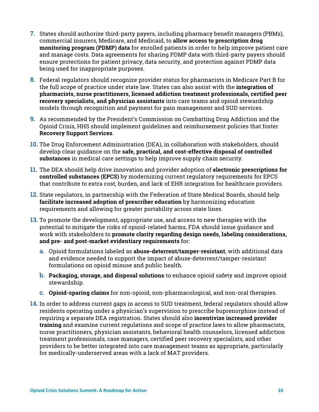- **7.** States should authorize third-party payers, including pharmacy benefit managers (PBMs), commercial insurers, Medicare, and Medicaid, to **allow access to prescription drug monitoring program (PDMP) data** for enrolled patients in order to help improve patient care and manage costs. Data agreements for sharing PDMP data with third-party payers should ensure protections for patient privacy, data security, and protection against PDMP data being used for inappropriate purposes.
- **8.** Federal regulators should recognize provider status for pharmacists in Medicare Part B for the full scope of practice under state law. States can also assist with the **integration of pharmacists, nurse practitioners, licensed addiction treatment professionals, certified peer recovery specialists, and physician assistants** into care teams and opioid stewardship models through recognition and payment for pain management and SUD services.
- **9.** As recommended by the President's Commission on Combatting Drug Addiction and the Opioid Crisis, HHS should implement guidelines and reimbursement policies that foster **Recovery Support Services**.
- **10.** The Drug Enforcement Administration (DEA), in collaboration with stakeholders, should develop clear guidance on the **safe, practical, and cost-effective disposal of controlled substances** in medical care settings to help improve supply chain security.
- **11.** The DEA should help drive innovation and provider adoption of **electronic prescriptions for controlled substances (EPCS)** by modernizing current regulatory requirements for EPCS that contribute to extra cost, burden, and lack of EHR integration for healthcare providers.
- **12.** State regulators, in partnership with the Federation of State Medical Boards, should help **facilitate increased adoption of prescriber education** by harmonizing education requirements and allowing for greater portability across state lines.
- **13.** To promote the development, appropriate use, and access to new therapies with the potential to mitigate the risks of opioid-related harms, FDA should issue guidance and work with stakeholders to **promote clarity regarding design needs, labeling considerations, and pre- and post-market evidentiary requirements** for:
	- **a.** Opioid formulations labeled as **abuse-deterrent/tamper-resistant**, with additional data and evidence needed to support the impact of abuse-deterrent/tamper-resistant formulations on opioid misuse and public health.
	- **b. Packaging, storage, and disposal solutions** to enhance opioid safety and improve opioid stewardship.
	- **c. Opioid-sparing claims** for non-opioid, non-pharmacological, and non-oral therapies.
- **14.** In order to address current gaps in access to SUD treatment, federal regulators should allow residents operating under a physician's supervision to prescribe buprenorphine instead of requiring a separate DEA registration. States should also **incentivize increased provider training** and examine current regulations and scope of practice laws to allow pharmacists, nurse practitioners, physician assistants, behavioral health counselors, licensed addiction treatment professionals, case managers, certified peer recovery specialists, and other providers to be better integrated into care management teams as appropriate, particularly for medically-underserved areas with a lack of MAT providers.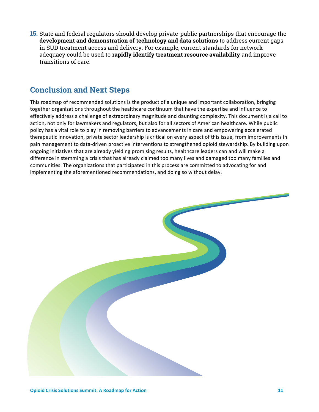**15.** State and federal regulators should develop private-public partnerships that encourage the **development and demonstration of technology and data solutions** to address current gaps in SUD treatment access and delivery. For example, current standards for network adequacy could be used to **rapidly identify treatment resource availability** and improve transitions of care.

# **Conclusion and Next Steps**

This roadmap of recommended solutions is the product of a unique and important collaboration, bringing together organizations throughout the healthcare continuum that have the expertise and influence to effectively address a challenge of extraordinary magnitude and daunting complexity. This document is a call to action, not only for lawmakers and regulators, but also for all sectors of American healthcare. While public policy has a vital role to play in removing barriers to advancements in care and empowering accelerated therapeutic innovation, private sector leadership is critical on every aspect of this issue, from improvements in pain management to data-driven proactive interventions to strengthened opioid stewardship. By building upon ongoing initiatives that are already yielding promising results, healthcare leaders can and will make a difference in stemming a crisis that has already claimed too many lives and damaged too many families and communities. The organizations that participated in this process are committed to advocating for and implementing the aforementioned recommendations, and doing so without delay.

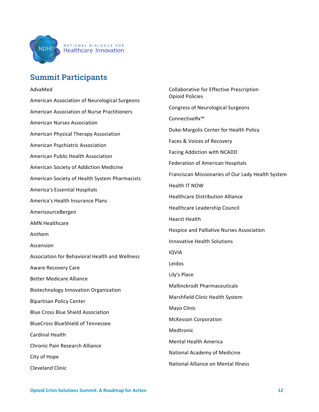

#### NATIONAL DIALOGUE FOR **Healthcare Innovation**

# **Summit Participants**

#### AdvaMed

American Association of Neurological Surgeons American Association of Nurse Practitioners American Nurses Association American Physical Therapy Association American Psychiatric Association American Public Health Association American Society of Addiction Medicine American Society of Health System Pharmacists America's Essential Hospitals America's Health Insurance Plans AmerisourceBergen **AMN Healthcare** Anthem Ascension Association for Behavioral Health and Wellness Aware Recovery Care Better Medicare Alliance Biotechnology Innovation Organization Bipartisan Policy Center Blue Cross Blue Shield Association BlueCross BlueShield of Tennessee Cardinal Health Chronic Pain Research Alliance City of Hope Cleveland Clinic

Collaborative for Effective Prescription Opioid Policies Congress of Neurological Surgeons ConnectiveRx™ Duke-Margolis Center for Health Policy Faces & Voices of Recovery Facing Addiction with NCADD Federation of American Hospitals Franciscan Missionaries of Our Lady Health System Health IT NOW Healthcare Distribution Alliance Healthcare Leadership Council Hearst Health Hospice and Palliative Nurses Association Innovative Health Solutions IQVIA Leidos Lily's Place Mallinckrodt Pharmaceuticals Marshfield Clinic Health System Mayo Clinic McKesson Corporation Medtronic Mental Health America National Academy of Medicine National Alliance on Mental Illness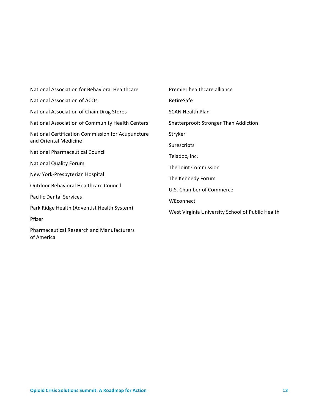| National Association for Behavioral Healthcare    | Premier healthcare alliance                      |
|---------------------------------------------------|--------------------------------------------------|
| <b>National Association of ACOs</b>               | RetireSafe                                       |
| National Association of Chain Drug Stores         | <b>SCAN Health Plan</b>                          |
| National Association of Community Health Centers  | <b>Shatterproof: Stronger Than Addiction</b>     |
| National Certification Commission for Acupuncture | Stryker                                          |
| and Oriental Medicine                             | Surescripts                                      |
| <b>National Pharmaceutical Council</b>            | Teladoc, Inc.                                    |
| <b>National Quality Forum</b>                     | The Joint Commission                             |
| New York-Presbyterian Hospital                    | The Kennedy Forum                                |
| <b>Outdoor Behavioral Healthcare Council</b>      | U.S. Chamber of Commerce                         |
| <b>Pacific Dental Services</b>                    | WEconnect                                        |
| Park Ridge Health (Adventist Health System)       | West Virginia University School of Public Health |
| Pfizer                                            |                                                  |
| <b>Pharmaceutical Research and Manufacturers</b>  |                                                  |

**Opioid Crisis Solutions Summit: A Roadmap for Action 13** 

of America